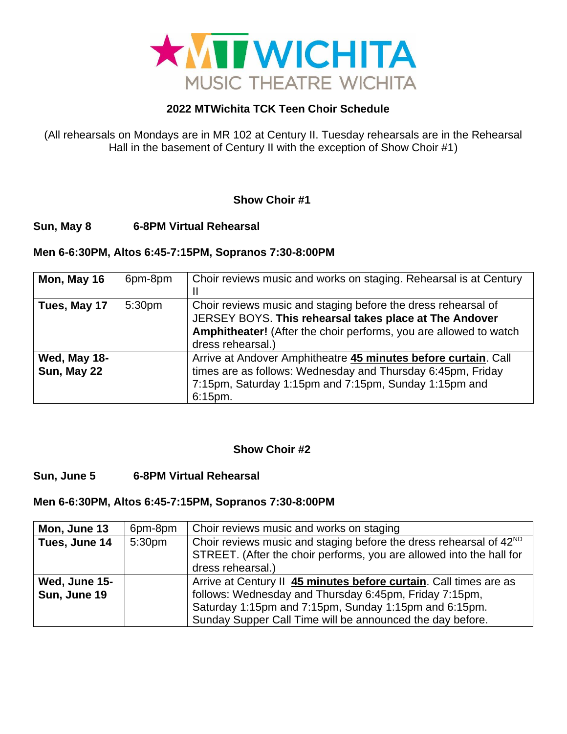

# **2022 MTWichita TCK Teen Choir Schedule**

(All rehearsals on Mondays are in MR 102 at Century II. Tuesday rehearsals are in the Rehearsal Hall in the basement of Century II with the exception of Show Choir #1)

# **Show Choir #1**

# **Sun, May 8 6-8PM Virtual Rehearsal**

### **Men 6-6:30PM, Altos 6:45-7:15PM, Sopranos 7:30-8:00PM**

| Mon, May 16                 | 6pm-8pm            | Choir reviews music and works on staging. Rehearsal is at Century                                                                                                                                                 |
|-----------------------------|--------------------|-------------------------------------------------------------------------------------------------------------------------------------------------------------------------------------------------------------------|
| Tues, May 17                | 5:30 <sub>pm</sub> | Choir reviews music and staging before the dress rehearsal of<br>JERSEY BOYS. This rehearsal takes place at The Andover<br>Amphitheater! (After the choir performs, you are allowed to watch<br>dress rehearsal.) |
| Wed, May 18-<br>Sun, May 22 |                    | Arrive at Andover Amphitheatre 45 minutes before curtain. Call<br>times are as follows: Wednesday and Thursday 6:45pm, Friday<br>7:15pm, Saturday 1:15pm and 7:15pm, Sunday 1:15pm and<br>6:15pm.                 |

### **Show Choir #2**

### **Sun, June 5 6-8PM Virtual Rehearsal**

### **Men 6-6:30PM, Altos 6:45-7:15PM, Sopranos 7:30-8:00PM**

| Mon, June 13  | 6pm-8pm | Choir reviews music and works on staging                                                                                                                                    |
|---------------|---------|-----------------------------------------------------------------------------------------------------------------------------------------------------------------------------|
| Tues, June 14 | 5:30pm  | Choir reviews music and staging before the dress rehearsal of 42 <sup>ND</sup><br>STREET. (After the choir performs, you are allowed into the hall for<br>dress rehearsal.) |
| Wed, June 15- |         | Arrive at Century II 45 minutes before curtain. Call times are as                                                                                                           |
| Sun, June 19  |         | follows: Wednesday and Thursday 6:45pm, Friday 7:15pm,                                                                                                                      |
|               |         | Saturday 1:15pm and 7:15pm, Sunday 1:15pm and 6:15pm.                                                                                                                       |
|               |         | Sunday Supper Call Time will be announced the day before.                                                                                                                   |